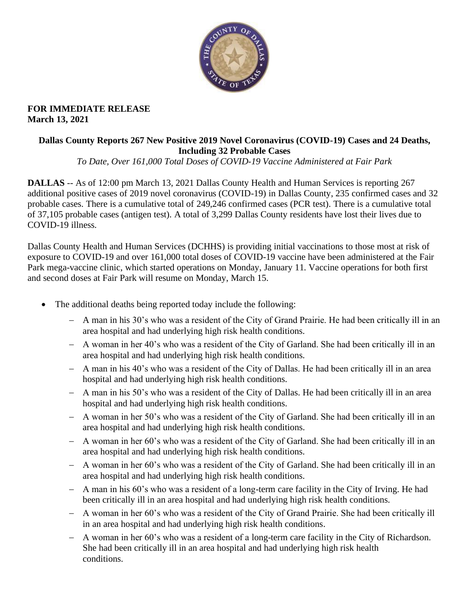

# **FOR IMMEDIATE RELEASE March 13, 2021**

# **Dallas County Reports 267 New Positive 2019 Novel Coronavirus (COVID-19) Cases and 24 Deaths, Including 32 Probable Cases**

*To Date, Over 161,000 Total Doses of COVID-19 Vaccine Administered at Fair Park* 

**DALLAS** -- As of 12:00 pm March 13, 2021 Dallas County Health and Human Services is reporting 267 additional positive cases of 2019 novel coronavirus (COVID-19) in Dallas County, 235 confirmed cases and 32 probable cases. There is a cumulative total of 249,246 confirmed cases (PCR test). There is a cumulative total of 37,105 probable cases (antigen test). A total of 3,299 Dallas County residents have lost their lives due to COVID-19 illness.

Dallas County Health and Human Services (DCHHS) is providing initial vaccinations to those most at risk of exposure to COVID-19 and over 161,000 total doses of COVID-19 vaccine have been administered at the Fair Park mega-vaccine clinic, which started operations on Monday, January 11. Vaccine operations for both first and second doses at Fair Park will resume on Monday, March 15.

- The additional deaths being reported today include the following:
	- − A man in his 30's who was a resident of the City of Grand Prairie. He had been critically ill in an area hospital and had underlying high risk health conditions.
	- − A woman in her 40's who was a resident of the City of Garland. She had been critically ill in an area hospital and had underlying high risk health conditions.
	- − A man in his 40's who was a resident of the City of Dallas. He had been critically ill in an area hospital and had underlying high risk health conditions.
	- − A man in his 50's who was a resident of the City of Dallas. He had been critically ill in an area hospital and had underlying high risk health conditions.
	- − A woman in her 50's who was a resident of the City of Garland. She had been critically ill in an area hospital and had underlying high risk health conditions.
	- − A woman in her 60's who was a resident of the City of Garland. She had been critically ill in an area hospital and had underlying high risk health conditions.
	- − A woman in her 60's who was a resident of the City of Garland. She had been critically ill in an area hospital and had underlying high risk health conditions.
	- − A man in his 60's who was a resident of a long-term care facility in the City of Irving. He had been critically ill in an area hospital and had underlying high risk health conditions.
	- − A woman in her 60's who was a resident of the City of Grand Prairie. She had been critically ill in an area hospital and had underlying high risk health conditions.
	- − A woman in her 60's who was a resident of a long-term care facility in the City of Richardson. She had been critically ill in an area hospital and had underlying high risk health conditions.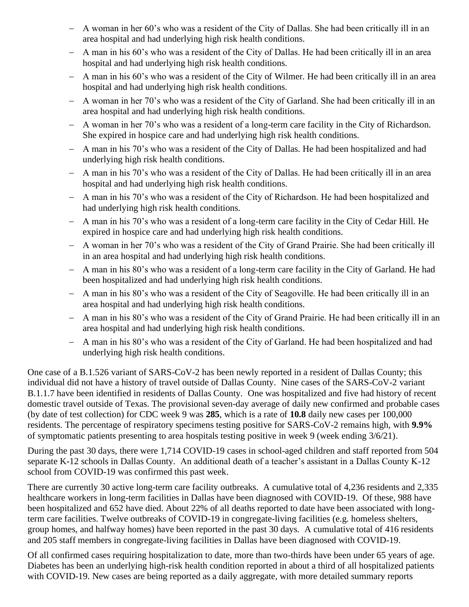- − A woman in her 60's who was a resident of the City of Dallas. She had been critically ill in an area hospital and had underlying high risk health conditions.
- − A man in his 60's who was a resident of the City of Dallas. He had been critically ill in an area hospital and had underlying high risk health conditions.
- − A man in his 60's who was a resident of the City of Wilmer. He had been critically ill in an area hospital and had underlying high risk health conditions.
- − A woman in her 70's who was a resident of the City of Garland. She had been critically ill in an area hospital and had underlying high risk health conditions.
- − A woman in her 70's who was a resident of a long-term care facility in the City of Richardson. She expired in hospice care and had underlying high risk health conditions.
- − A man in his 70's who was a resident of the City of Dallas. He had been hospitalized and had underlying high risk health conditions.
- − A man in his 70's who was a resident of the City of Dallas. He had been critically ill in an area hospital and had underlying high risk health conditions.
- − A man in his 70's who was a resident of the City of Richardson. He had been hospitalized and had underlying high risk health conditions.
- − A man in his 70's who was a resident of a long-term care facility in the City of Cedar Hill. He expired in hospice care and had underlying high risk health conditions.
- − A woman in her 70's who was a resident of the City of Grand Prairie. She had been critically ill in an area hospital and had underlying high risk health conditions.
- − A man in his 80's who was a resident of a long-term care facility in the City of Garland. He had been hospitalized and had underlying high risk health conditions.
- − A man in his 80's who was a resident of the City of Seagoville. He had been critically ill in an area hospital and had underlying high risk health conditions.
- − A man in his 80's who was a resident of the City of Grand Prairie. He had been critically ill in an area hospital and had underlying high risk health conditions.
- − A man in his 80's who was a resident of the City of Garland. He had been hospitalized and had underlying high risk health conditions.

One case of a B.1.526 variant of SARS-CoV-2 has been newly reported in a resident of Dallas County; this individual did not have a history of travel outside of Dallas County. Nine cases of the SARS-CoV-2 variant B.1.1.7 have been identified in residents of Dallas County. One was hospitalized and five had history of recent domestic travel outside of Texas. The provisional seven-day average of daily new confirmed and probable cases (by date of test collection) for CDC week 9 was **285**, which is a rate of **10.8** daily new cases per 100,000 residents. The percentage of respiratory specimens testing positive for SARS-CoV-2 remains high, with **9.9%** of symptomatic patients presenting to area hospitals testing positive in week 9 (week ending 3/6/21).

During the past 30 days, there were 1,714 COVID-19 cases in school-aged children and staff reported from 504 separate K-12 schools in Dallas County. An additional death of a teacher's assistant in a Dallas County K-12 school from COVID-19 was confirmed this past week.

There are currently 30 active long-term care facility outbreaks. A cumulative total of 4,236 residents and 2,335 healthcare workers in long-term facilities in Dallas have been diagnosed with COVID-19. Of these, 988 have been hospitalized and 652 have died. About 22% of all deaths reported to date have been associated with longterm care facilities. Twelve outbreaks of COVID-19 in congregate-living facilities (e.g. homeless shelters, group homes, and halfway homes) have been reported in the past 30 days. A cumulative total of 416 residents and 205 staff members in congregate-living facilities in Dallas have been diagnosed with COVID-19.

Of all confirmed cases requiring hospitalization to date, more than two-thirds have been under 65 years of age. Diabetes has been an underlying high-risk health condition reported in about a third of all hospitalized patients with COVID-19. New cases are being reported as a daily aggregate, with more detailed summary reports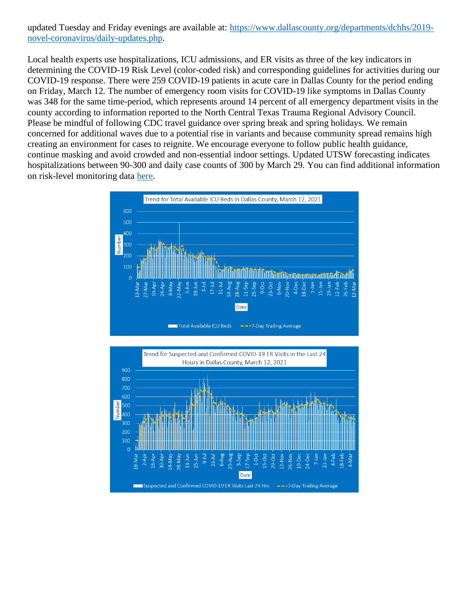updated Tuesday and Friday evenings are available at: [https://www.dallascounty.org/departments/dchhs/2019](https://www.dallascounty.org/departments/dchhs/2019-novel-coronavirus/daily-updates.php) [novel-coronavirus/daily-updates.php.](https://www.dallascounty.org/departments/dchhs/2019-novel-coronavirus/daily-updates.php)

Local health experts use hospitalizations, ICU admissions, and ER visits as three of the key indicators in determining the COVID-19 Risk Level (color-coded risk) and corresponding guidelines for activities during our COVID-19 response. There were 259 COVID-19 patients in acute care in Dallas County for the period ending on Friday, March 12. The number of emergency room visits for COVID-19 like symptoms in Dallas County was 348 for the same time-period, which represents around 14 percent of all emergency department visits in the county according to information reported to the North Central Texas Trauma Regional Advisory Council. Please be mindful of following CDC travel guidance over spring break and spring holidays. We remain concerned for additional waves due to a potential rise in variants and because community spread remains high creating an environment for cases to reignite. We encourage everyone to follow public health guidance, continue masking and avoid crowded and non-essential indoor settings. Updated UTSW forecasting indicates hospitalizations between 90-300 and daily case counts of 300 by March 29. You can find additional information on risk-level monitoring data [here.](https://www.dallascounty.org/Assets/uploads/docs/hhs/2019-nCoV/C-19-risklevelmgmt/031221-DallasCounty-COVID-19-Hospitalization-Data.pdf)



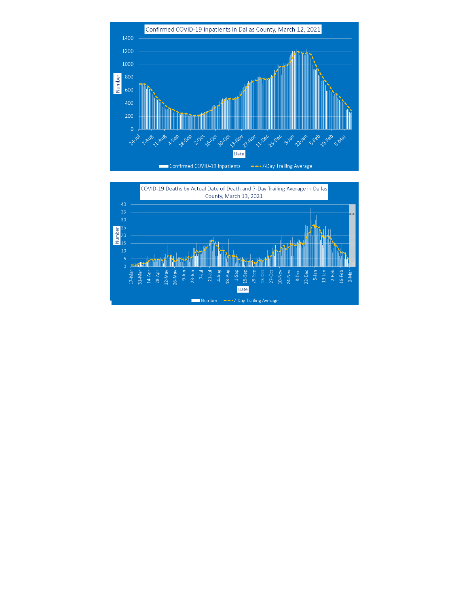

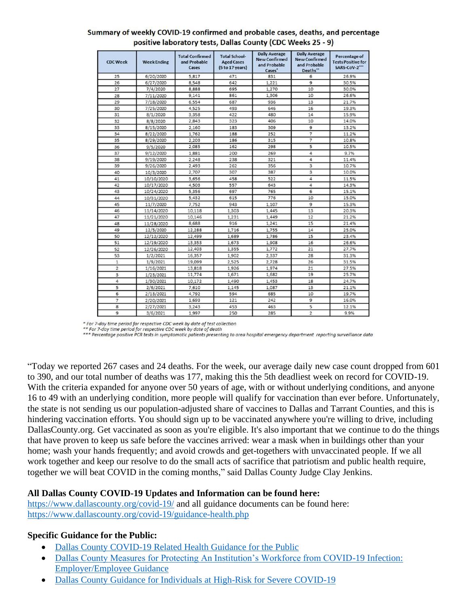| <b>CDC Week</b> | <b>Week Ending</b> | <b>Total Confirmed</b><br>and Probable<br>Cases | <b>Total School-</b><br><b>Aged Cases</b><br>(5 to 17 years) | <b>Daily Average</b><br><b>New Confirmed</b><br>and Probable<br>Cases' | <b>Daily Average</b><br><b>New Confirmed</b><br>and Probable<br>Deaths" | Percentage of<br><b>Tests Positive for</b><br>SARS-CoV-2*** |
|-----------------|--------------------|-------------------------------------------------|--------------------------------------------------------------|------------------------------------------------------------------------|-------------------------------------------------------------------------|-------------------------------------------------------------|
| 25              | 6/20/2020          | 5,817                                           | 471                                                          | 831                                                                    | 6                                                                       | 26.9%                                                       |
| 26              | 6/27/2020          | 8,548                                           | 642                                                          | 1,221                                                                  | 9                                                                       | 30.5%                                                       |
| 27              | 7/4/2020           | 8,888                                           | 695                                                          | 1,270                                                                  | 10                                                                      | 30.0%                                                       |
| 28              | 7/11/2020          | 9,141                                           | 861                                                          | 1,306                                                                  | 10                                                                      | 26.6%                                                       |
| 29              | 7/18/2020          | 6,554                                           | 687                                                          | 936                                                                    | 13                                                                      | 21.7%                                                       |
| 30              | 7/25/2020          | 4,525                                           | 493                                                          | 646                                                                    | 16                                                                      | 19.3%                                                       |
| 31              | 8/1/2020           | 3,358                                           | 422                                                          | 480                                                                    | 14                                                                      | 15.9%                                                       |
| 32              | 8/8/2020           | 2,843                                           | 323                                                          | 406                                                                    | 10                                                                      | 14.0%                                                       |
| 33              | 8/15/2020          | 2,160                                           | 183                                                          | 309                                                                    | $\overline{9}$                                                          | 13.2%                                                       |
| 34              | 8/22/2020          | 1,762                                           | 188                                                          | 252                                                                    | $\overline{7}$                                                          | 11.2%                                                       |
| 35              | 8/29/2020          | 2,203                                           | 186                                                          | 315                                                                    | $\overline{7}$                                                          | 10.8%                                                       |
| 36              | 9/5/2020           | 2,085                                           | 162                                                          | 298                                                                    | 5                                                                       | 10.5%                                                       |
| 37              | 9/12/2020          | 1,881                                           | 200                                                          | 269                                                                    | 4                                                                       | 9.7%                                                        |
| 38              | 9/19/2020          | 2,248                                           | 238                                                          | 321                                                                    | 4                                                                       | 11.4%                                                       |
| 39              | 9/26/2020          | 2,493                                           | 262                                                          | 356                                                                    | $\overline{\mathbf{3}}$                                                 | 10.7%                                                       |
| 40              | 10/3/2020          | 2,707                                           | 307                                                          | 387                                                                    | 3                                                                       | 10.0%                                                       |
| 41              | 10/10/2020         | 3,656                                           | 458                                                          | 522                                                                    | 4                                                                       | 11.5%                                                       |
| 42              | 10/17/2020         | 4,503                                           | 557                                                          | 643                                                                    | 4                                                                       | 14.3%                                                       |
| 43              | 10/24/2020         | 5,356                                           | 697                                                          | 765                                                                    | 6                                                                       | 15.1%                                                       |
| 44              | 10/31/2020         | 5,432                                           | 615                                                          | 776                                                                    | 10                                                                      | 15.0%                                                       |
| 45              | 11/7/2020          | 7,752                                           | 943                                                          | 1,107                                                                  | $\overline{9}$                                                          | 15.3%                                                       |
| 46              | 11/14/2020         | 10,118                                          | 1,303                                                        | 1,445                                                                  | 13                                                                      | 20.3%                                                       |
| 47              | 11/21/2020         | 10,146                                          | 1,231                                                        | 1,449                                                                  | 12                                                                      | 21.2%                                                       |
| 48              | 11/28/2020         | 8,688                                           | 916                                                          | 1,241                                                                  | 15                                                                      | 21.4%                                                       |
| 49              | 12/5/2020          | 12,288                                          | 1,716                                                        | 1,755                                                                  | 14                                                                      | 25.0%                                                       |
| 50              | 12/12/2020         | 12,499                                          | 1,689                                                        | 1,786                                                                  | 15                                                                      | 23.4%                                                       |
| 51              | 12/19/2020         | 13,353                                          | 1,673                                                        | 1,908                                                                  | 16                                                                      | 26.6%                                                       |
| 52              | 12/26/2020         | 12,403                                          | 1,355                                                        | 1,772                                                                  | 21                                                                      | 27.7%                                                       |
| 53              | 1/2/2021           | 16,357                                          | 1,902                                                        | 2,337                                                                  | 28                                                                      | 31.3%                                                       |
| $\,$ 1 $\,$     | 1/9/2021           | 19,099                                          | 2,525                                                        | 2,728                                                                  | 26                                                                      | 31.5%                                                       |
| $\overline{2}$  | 1/16/2021          | 13,818                                          | 1,926                                                        | 1,974                                                                  | 21                                                                      | 27.5%                                                       |
| 3               | 1/23/2021          | 11,774                                          | 1,671                                                        | 1,682                                                                  | 19                                                                      | 25.7%                                                       |
| 4               | 1/30/2021          | 10,172                                          | 1,490                                                        | 1,453                                                                  | 18                                                                      | 24.7%                                                       |
| 5               | 2/6/2021           | 7,610                                           | 1,145                                                        | 1,087                                                                  | 13                                                                      | 21.1%                                                       |
| 6               | 2/13/2021          | 4,792                                           | 594                                                          | 685                                                                    | 10                                                                      | 19.7%                                                       |
| $\overline{7}$  | 2/20/2021          | 1,693                                           | 121                                                          | 242                                                                    | $\mathsf g$                                                             | 16.0%                                                       |
| 8               | 2/27/2021          | 3,243                                           | 453                                                          | 463                                                                    | 5                                                                       | 12.1%                                                       |
| 9               | 3/6/2021           | 1,997                                           | 250                                                          | 285                                                                    | $\overline{2}$                                                          | 9.9%                                                        |

#### Summary of weekly COVID-19 confirmed and probable cases, deaths, and percentage positive laboratory tests, Dallas County (CDC Weeks 25 - 9)

\* For 7-day time period for respective CDC week by date of test collection

- For 7-aay time period for respective CDC week by date of test collection<br>\*\* For 7-day time period for respective CDC week by date of death<br>\*\*\* Percentage positive PCR tests in symptomatic patients presenting to area hosp

"Today we reported 267 cases and 24 deaths. For the week, our average daily new case count dropped from 601 to 390, and our total number of deaths was 177, making this the 5th deadliest week on record for COVID-19. With the criteria expanded for anyone over 50 years of age, with or without underlying conditions, and anyone 16 to 49 with an underlying condition, more people will qualify for vaccination than ever before. Unfortunately, the state is not sending us our population-adjusted share of vaccines to Dallas and Tarrant Counties, and this is hindering vaccination efforts. You should sign up to be vaccinated anywhere you're willing to drive, including DallasCounty.org. Get vaccinated as soon as you're eligible. It's also important that we continue to do the things that have proven to keep us safe before the vaccines arrived: wear a mask when in buildings other than your home; wash your hands frequently; and avoid crowds and get-togethers with unvaccinated people. If we all work together and keep our resolve to do the small acts of sacrifice that patriotism and public health require, together we will beat COVID in the coming months," said Dallas County Judge Clay Jenkins.

# **All Dallas County COVID-19 Updates and Information can be found here:**

<https://www.dallascounty.org/covid-19/> and all guidance documents can be found here: <https://www.dallascounty.org/covid-19/guidance-health.php>

# **Specific Guidance for the Public:**

- [Dallas County COVID-19 Related Health Guidance for the Public](https://www.dallascounty.org/Assets/uploads/docs/covid-19/community/Dallas-CovidGeneralGuidelines-060620.pdf)
- [Dallas County Measures for Protecting An Institution's Workforce from COVID-19 Infection:](https://www.dallascounty.org/Assets/uploads/docs/covid-19/community/Dallas_Covid_Employer_Guidance_FINAL.pdf)  [Employer/Employee Guidance](https://www.dallascounty.org/Assets/uploads/docs/covid-19/community/Dallas_Covid_Employer_Guidance_FINAL.pdf)
- [Dallas County Guidance for Individuals at High-Risk for Severe COVID-19](https://www.dallascounty.org/Assets/uploads/docs/covid-19/community/Dallas_HighRiskGuidelines.pdf)